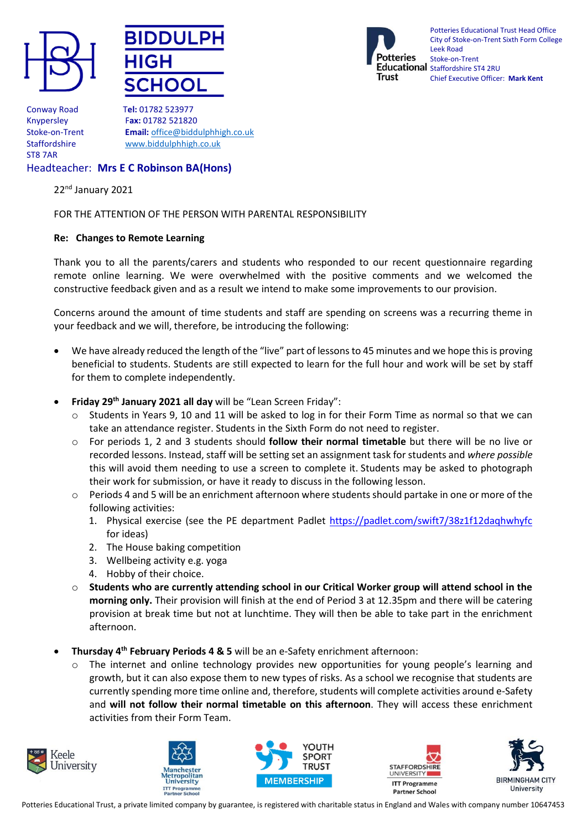





Potteries Educational Trust Head Office City of Stoke-on-Trent Sixth Form College Leek Road Stoke-on-Trent Educational Staffordshire ST4 2RU Chief Executive Officer: **Mark Kent**

Conway Road T**el:** 01782 523977 ST8 7AR

Knypersley F**ax:** 01782 521820 Stoke-on-Trent **Email:** [office@biddulphhigh.co.uk](mailto:office@biddulphhigh.co.uk) Staffordshire [www.biddulphhigh.co.uk](http://www.biddulphhigh.co.uk/) 

## Headteacher: **Mrs E C Robinson BA(Hons)**

22<sup>nd</sup> January 2021

## FOR THE ATTENTION OF THE PERSON WITH PARENTAL RESPONSIBILITY

## **Re: Changes to Remote Learning**

Thank you to all the parents/carers and students who responded to our recent questionnaire regarding remote online learning. We were overwhelmed with the positive comments and we welcomed the constructive feedback given and as a result we intend to make some improvements to our provision.

Concerns around the amount of time students and staff are spending on screens was a recurring theme in your feedback and we will, therefore, be introducing the following:

- We have already reduced the length of the "live" part of lessons to 45 minutes and we hope this is proving beneficial to students. Students are still expected to learn for the full hour and work will be set by staff for them to complete independently.
- **Friday 29th January 2021 all day** will be "Lean Screen Friday":
	- Students in Years 9, 10 and 11 will be asked to log in for their Form Time as normal so that we can take an attendance register. Students in the Sixth Form do not need to register.
	- o For periods 1, 2 and 3 students should **follow their normal timetable** but there will be no live or recorded lessons. Instead, staff will be setting set an assignment task for students and *where possible* this will avoid them needing to use a screen to complete it. Students may be asked to photograph their work for submission, or have it ready to discuss in the following lesson.
	- $\circ$  Periods 4 and 5 will be an enrichment afternoon where students should partake in one or more of the following activities:
		- 1. Physical exercise (see the PE department Padlet <https://padlet.com/swift7/38z1f12daqhwhyfc> for ideas)
		- 2. The House baking competition
		- 3. Wellbeing activity e.g. yoga
		- 4. Hobby of their choice.
	- o **Students who are currently attending school in our Critical Worker group will attend school in the morning only.** Their provision will finish at the end of Period 3 at 12.35pm and there will be catering provision at break time but not at lunchtime. They will then be able to take part in the enrichment afternoon.
- **Thursday 4 th February Periods 4 & 5** will be an e-Safety enrichment afternoon:
	- $\circ$  The internet and online technology provides new opportunities for young people's learning and growth, but it can also expose them to new types of risks. As a school we recognise that students are currently spending more time online and, therefore, students will complete activities around e-Safety and **will not follow their normal timetable on this afternoon**. They will access these enrichment activities from their Form Team.